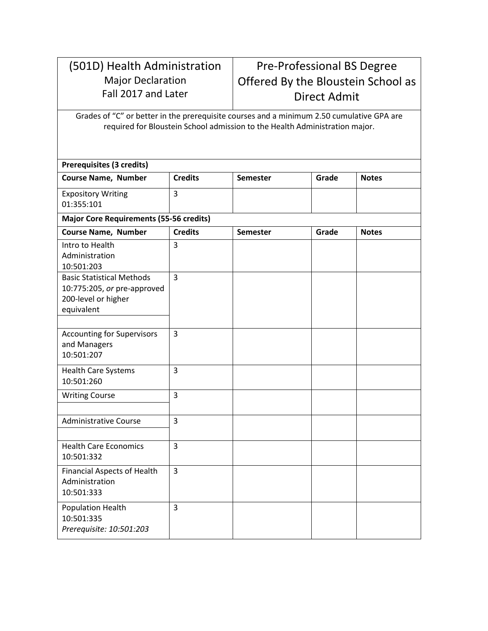## (501D) Health Administration Major Declaration Fall 2017 and Later

## Pre-Professional BS Degree Offered By the Bloustein School as Direct Admit

Grades of "C" or better in the prerequisite courses and a minimum 2.50 cumulative GPA are required for Bloustein School admission to the Health Administration major.

| Prerequisites (3 credits)                      | <b>Credits</b> |                 | Grade |              |  |  |  |
|------------------------------------------------|----------------|-----------------|-------|--------------|--|--|--|
| <b>Course Name, Number</b>                     |                | <b>Semester</b> |       | <b>Notes</b> |  |  |  |
| <b>Expository Writing</b>                      | 3              |                 |       |              |  |  |  |
| 01:355:101                                     |                |                 |       |              |  |  |  |
| <b>Major Core Requirements (55-56 credits)</b> |                |                 |       |              |  |  |  |
| <b>Course Name, Number</b>                     | <b>Credits</b> | <b>Semester</b> | Grade | <b>Notes</b> |  |  |  |
| Intro to Health                                | 3              |                 |       |              |  |  |  |
| Administration<br>10:501:203                   |                |                 |       |              |  |  |  |
| <b>Basic Statistical Methods</b>               | $\overline{3}$ |                 |       |              |  |  |  |
| 10:775:205, or pre-approved                    |                |                 |       |              |  |  |  |
| 200-level or higher<br>equivalent              |                |                 |       |              |  |  |  |
|                                                |                |                 |       |              |  |  |  |
| <b>Accounting for Supervisors</b>              | 3              |                 |       |              |  |  |  |
| and Managers                                   |                |                 |       |              |  |  |  |
| 10:501:207                                     |                |                 |       |              |  |  |  |
| <b>Health Care Systems</b>                     | 3              |                 |       |              |  |  |  |
| 10:501:260                                     |                |                 |       |              |  |  |  |
| <b>Writing Course</b>                          | 3              |                 |       |              |  |  |  |
| <b>Administrative Course</b>                   | $\overline{3}$ |                 |       |              |  |  |  |
|                                                |                |                 |       |              |  |  |  |
| <b>Health Care Economics</b>                   | 3              |                 |       |              |  |  |  |
| 10:501:332                                     |                |                 |       |              |  |  |  |
| <b>Financial Aspects of Health</b>             | 3              |                 |       |              |  |  |  |
| Administration<br>10:501:333                   |                |                 |       |              |  |  |  |
|                                                |                |                 |       |              |  |  |  |
| Population Health<br>10:501:335                | 3              |                 |       |              |  |  |  |
| Prerequisite: 10:501:203                       |                |                 |       |              |  |  |  |
|                                                |                |                 |       |              |  |  |  |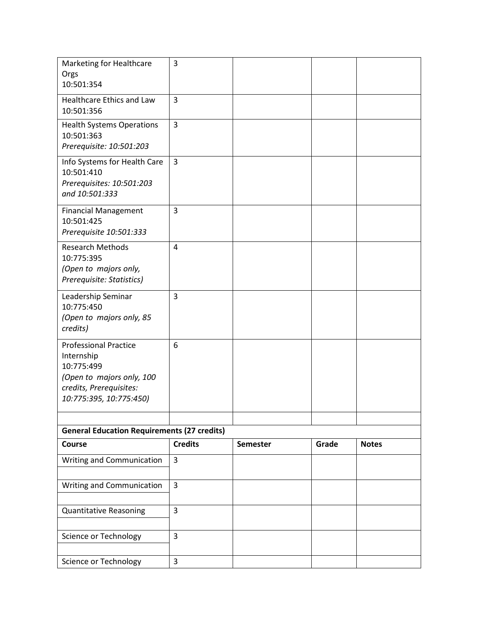| Marketing for Healthcare<br>Orgs                                                                                                            | 3              |                 |       |              |
|---------------------------------------------------------------------------------------------------------------------------------------------|----------------|-----------------|-------|--------------|
| 10:501:354                                                                                                                                  |                |                 |       |              |
| Healthcare Ethics and Law<br>10:501:356                                                                                                     | 3              |                 |       |              |
| <b>Health Systems Operations</b><br>10:501:363<br>Prerequisite: 10:501:203                                                                  | 3              |                 |       |              |
| Info Systems for Health Care<br>10:501:410<br>Prerequisites: 10:501:203<br>and 10:501:333                                                   | 3              |                 |       |              |
| <b>Financial Management</b><br>10:501:425<br>Prerequisite 10:501:333                                                                        | 3              |                 |       |              |
| <b>Research Methods</b><br>10:775:395<br>(Open to majors only,<br>Prerequisite: Statistics)                                                 | $\overline{4}$ |                 |       |              |
| Leadership Seminar<br>10:775:450<br>(Open to majors only, 85<br>credits)                                                                    | 3              |                 |       |              |
| <b>Professional Practice</b><br>Internship<br>10:775:499<br>(Open to majors only, 100<br>credits, Prerequisites:<br>10:775:395, 10:775:450) | 6              |                 |       |              |
| <b>General Education Requirements (27 credits)</b>                                                                                          |                |                 |       |              |
| Course                                                                                                                                      | <b>Credits</b> | <b>Semester</b> | Grade | <b>Notes</b> |
| Writing and Communication                                                                                                                   | 3              |                 |       |              |
| Writing and Communication                                                                                                                   | $\overline{3}$ |                 |       |              |
| <b>Quantitative Reasoning</b>                                                                                                               | 3              |                 |       |              |
| Science or Technology                                                                                                                       | 3              |                 |       |              |
| Science or Technology                                                                                                                       | 3              |                 |       |              |